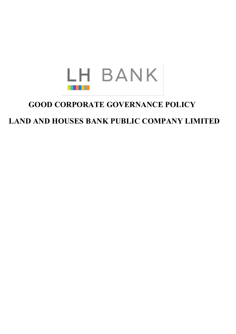

# **GOOD CORPORATE GOVERNANCE POLICY**

# **LAND AND HOUSES BANK PUBLIC COMPANY LIMITED**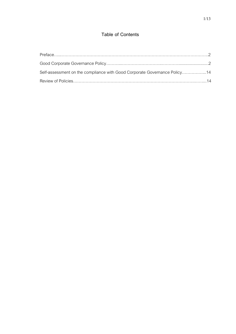# **Table of Contents**

| Self-assessment on the compliance with Good Corporate Governance Policy14 |  |
|---------------------------------------------------------------------------|--|
|                                                                           |  |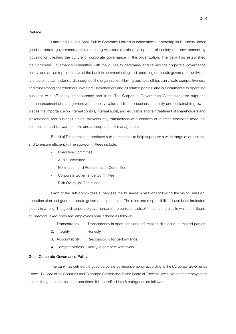### **Preface**

Land and Houses Bank Public Company Limited is committed to operating its business under good corporate governance principles along with sustainable development of society and environment by focusing on creating the culture of corporate governance in the organization. The bank has established the Corporate Governance Committee with the duties to determine and review the corporate governance policy, and act as representative of the bank in communicating and operating corporate governance activities to ensure the same standard throughout the organization. Having business ethics can create competitiveness and trust among shareholders, investors, stakeholders and all related parties; and is fundamental to operating business with efficiency, transparency and trust. The Corporate Governance Committee also supports the enhancement of management with honesty, value addition to business, stability and sustainable growth, places the importance on internal control, internal audit, and equitable and fair treatment of shareholders and stakeholders and business ethics; prevents any transactions with conflicts of interest, discloses adequate information; and is aware of risks and appropriate risk management.

Board of Directors has appointed sub-committees to help supervise a wide range of operations and to ensure efficiency. The sub-committees include:

- Executive Committee
- Audit Committee
- Nomination and Remuneration Committee
- Corporate Governance Committee
- Risk Oversight Committee

Each of the sub-committees supervises the business operations following the vision, mission, operation plan and good corporate governance principles. The roles and responsibilities have been indicated clearly in writing. The good corporate governance of the bank consists of 4 main principles to which the Board of Directors, executives and employees shall adhere as follows:

- 1. Transparency : Transparency in operations and information disclosure to related parties
- 2. Integrity : Honesty
- 3. Accountability : Responsibility for performance
- 4. Competitiveness: Ability to compete with rivals

#### **Good Corporate Governance Policy**

The bank has defined the good corporate governance policy according to the Corporate Governance Code: CG Code of the Securities and Exchange Commission for the Board of Directors, executives and employees to use as the guidelines for the operations. It is classified into 8 categories as follows: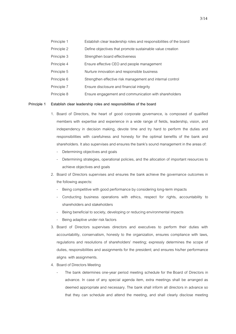| Principle 1 | Establish clear leadership roles and responsibilities of the board |
|-------------|--------------------------------------------------------------------|
| Principle 2 | Define objectives that promote sustainable value creation          |
| Principle 3 | Strengthen board effectiveness                                     |
| Principle 4 | Ensure effective CEO and people management                         |
| Principle 5 | Nurture innovation and responsible business                        |
| Principle 6 | Strengthen effective risk management and internal control          |
| Principle 7 | Ensure disclosure and financial integrity                          |
| Principle 8 | Ensure engagement and communication with shareholders              |

#### **Principle 1 Establish clear leadership roles and responsibilities of the board**

- 1. Board of Directors, the heart of good corporate governance, is composed of qualified members with expertise and experience in a wide range of fields, leadership, vision, and independency in decision making, devote time and try hard to perform the duties and responsibilities with carefulness and honesty for the optimal benefits of the bank and shareholders. It also supervises and ensures the bank's sound management in the areas of:
	- Determining objectives and goals
	- Determining strategies, operational policies, and the allocation of important resources to achieve objectives and goals
- 2. Board of Directors supervises and ensures the bank achieve the governance outcomes in the following aspects:
	- Being competitive with good performance by considering long-term impacts
	- Conducting business operations with ethics, respect for rights, accountability to shareholders and stakeholders
	- Being beneficial to society, developing or reducing environmental impacts
	- Being adaptive under risk factors
- 3. Board of Directors supervises directors and executives to perform their duties with accountability, conservatism, honesty to the organization, ensures compliance with laws, regulations and resolutions of shareholders' meeting; expressly determines the scope of duties, responsibilities and assignments for the president; and ensures his/her performance aligns with assignments.
- 4. Board of Directors Meeting
	- The bank determines one-year period meeting schedule for the Board of Directors in advance. In case of any special agenda item, extra meetings shall be arranged as deemed appropriate and necessary. The bank shall inform all directors in advance so that they can schedule and attend the meeting, and shall clearly disclose meeting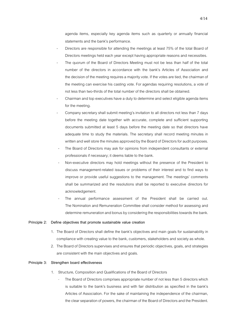agenda items, especially key agenda items such as quarterly or annually financial statements and the bank's performance.

- Directors are responsible for attending the meetings at least 75% of the total Board of Directors meetings held each year except having appropriate reasons and necessities.
- The quorum of the Board of Directors Meeting must not be less than half of the total number of the directors in accordance with the bank's Articles of Association and the decision of the meeting requires a majority vote. If the votes are tied, the chairman of the meeting can exercise his casting vote. For agendas requiring resolutions, a vote of not less than two-thirds of the total number of the directors shall be obtained.
- Chairman and top executives have a duty to determine and select eligible agenda items for the meeting.
- Company secretary shall submit meeting's invitation to all directors not less than 7 days before the meeting date together with accurate, complete and sufficient supporting documents submitted at least 5 days before the meeting date so that directors have adequate time to study the materials. The secretary shall record meeting minutes in written and well store the minutes approved by the Board of Directors for audit purposes.
- The Board of Directors may ask for opinions from independent consultants or external professionals if necessary; it deems liable to the bank.
- Non-executive directors may hold meetings without the presence of the President to discuss management-related issues or problems of their interest and to find ways to improve or provide useful suggestions to the management. The meetings' comments shall be summarized and the resolutions shall be reported to executive directors for acknowledgement.
- The annual performance assessment of the President shall be carried out. The Nomination and Remuneration Committee shall consider method for assessing and determine remuneration and bonus by considering the responsibilities towards the bank.

#### **Principle 2: Define objectives that promote sustainable value creation**

- 1. The Board of Directors shall define the bank's objectives and main goals for sustainability in compliance with creating value to the bank, customers, stakeholders and society as whole.
- 2. The Board of Directors supervises and ensures that periodic objectives, goals, and strategies are consistent with the main objectives and goals.

### **Principle 3: Strengthen board effectiveness**

- 1. Structure, Composition and Qualifications of the Board of Directors
	- The Board of Directors comprises appropriate number of not less than 5 directors which is suitable to the bank's business and with fair distribution as specified in the bank's Articles of Association. For the sake of maintaining the independence of the chairman, the clear separation of powers, the chairman of the Board of Directors and the President.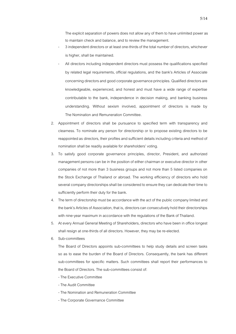The explicit separation of powers does not allow any of them to have unlimited power as to maintain check and balance, and to review the management.

- 3 independent directors or at least one-thirds of the total number of directors, whichever is higher, shall be maintained.
- All directors including independent directors must possess the qualifications specified by related legal requirements, official regulations, and the bank's Articles of Associate concerning directors and good corporate governance principles. Qualified directors are knowledgeable, experienced, and honest and must have a wide range of expertise contributable to the bank, independence in decision making, and banking business understanding. Without sexism involved, appointment of directors is made by The Nomination and Remuneration Committee.
- 2. Appointment of directors shall be pursuance to specified term with transparency and clearness. To nominate any person for directorship or to propose existing directors to be reappointed as directors, their profiles and sufficient details including criteria and method of nomination shall be readily available for shareholders' voting.
- 3. To satisfy good corporate governance principles, director, President, and authorized management persons can be in the position of either chairman or executive director in other companies of not more than 3 business groups and not more than 5 listed companies on the Stock Exchange of Thailand or abroad. The working efficiency of directors who hold several company directorships shall be considered to ensure they can dedicate their time to sufficiently perform their duty for the bank.
- 4. The term of directorship must be accordance with the act of the public company limited and the bank's Articles of Association, that is, directors can consecutively hold their directorships with nine-year maximum in accordance with the regulations of the Bank of Thailand.
- 5. At every Annual General Meeting of Shareholders, directors who have been in office longest shall resign at one-thirds of all directors. However, they may be re-elected.
- 6. Sub-committees

The Board of Directors appoints sub-committees to help study details and screen tasks so as to ease the burden of the Board of Directors. Consequently, the bank has different sub-committees for specific matters. Such committees shall report their performances to the Board of Directors. The sub-committees consist of:

- The Executive Committee
- The Audit Committee
- The Nomination and Remuneration Committee
- The Corporate Governance Committee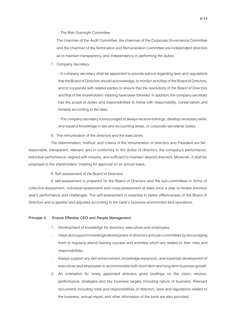- The Risk Oversight Committee

The chairman of the Audit Committee, the chairman of the Corporate Governance Committee and the chairman of the Nomination and Remuneration Committee are independent directors as to maintain transparency and independency in performing the duties.

7. Company Secretary

- A company secretary shall be appointed to provide advice regarding laws and regulations that theBoard of Directors should acknowledge, to monitoractivities of the Board of Directors, and to cooperate with related parties to ensure that the resolutions of the Board of Directors and that of the shareholders' meeting have been followed. In addition, the company secretary has the scope of duties and responsibilities to follow with responsibility, conservatism and honesty according to the laws.

-The company secretaryis encouraged to always receive trainings, develop necessary skills, and expand knowledge in law and accounting areas, or corporate secretarial duties.

8. The remuneration of the directors and the executives

The determination, method, and criteria of the remuneration of directors and President are fair, reasonable, transparent, relevant, and in conformity to the duties of directors, the company's performance, individual performance, aligned with industry, and sufficient to maintain desired directors. Moreover, it shall be proposed to the shareholders' meeting for approval on an annual basis.

9. Self-assessment of the Board of Directors

A self-assessment is prepared for the Board of Directors and the sub-committees in forms of collective assessment, individual assessment and cross-assessment at least once a year to review previous year's performance and challenges. The self-assessment is essential to better effectiveness of the Board of Directors and is applied and adjusted according to the bank's business environment and operations.

#### **Principle 4: Ensure Effective CEO and People Management**

- 1. Development of knowledge for directors, executives and employees
- Value and support knowledge development of directors and sub-committees by encouraging them to regularly attend training courses and activities which are related to their roles and responsibilities.
- Always support any skill enhancement, knowledge expansion, and expertise development of executives and employees to accommodate both short-term and long-term business growth.
- 2. An orientation for newly appointed directors gives briefings on the vision, mission, performance, strategies and key business targets including nature of business. Relevant documents including roles and responsibilities of directors, laws and regulations related to the business, annual report, and other information of the bank are also provided.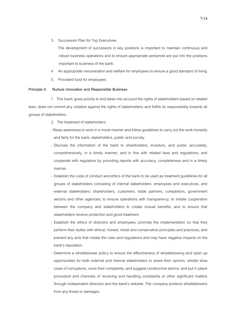3. Succession Plan for Top Executives

The development of successors in key positions is important to maintain continuous and robust business operations and to ensure appropriate personnel are put into the positions important to business of the bank.

- 4. An appropriate remuneration and welfare for employees to ensure a good standard of living
- 5. Provident fund for employees

# **Principle 5: Nurture Innovation and Responsible Business**

1. The bank gives priority to and takes into account the rights of stakeholders based on related laws; does not commit any violation against the rights of stakeholders; and fulfills its responsibility towards all groups of stakeholders

- 2. The treatment of stakeholders
- Raise awareness to work in a moral manner and follow guidelines to carry out the work honestly and fairly for the bank, stakeholders, public and society.
- Disclose the information of the bank to shareholders, investors, and public accurately, comprehensively, in a timely manner, and in line with related laws and regulations; and cooperate with regulators by providing reports with accuracy, completeness and in a timely manner.
- Establish the code of conduct and ethics of the bank to be used as treatment guidelines for all groups of stakeholders consisting of internal stakeholders: employees and executives, and external stakeholders: shareholders, customers, trade partners, competitors, government sectors and other agencies; to ensure operations with transparency; to initiate cooperation between the company and stakeholders to create mutual benefits; and to ensure that stakeholders receive protection and good treatment.
- Establish the ethics of directors and employees; promote the implementation so that they perform their duties with ethical, honest, moral and conservative principles and practices; and prevent any acts that violate the rules and regulations and may have negative impacts on the bank's reputation.
- Determine a whistleblower policy to ensure the effectiveness of whistleblowing and open up opportunities for both external and internal stakeholders to share their opinion, whistle blow clues of corruptions, voice their complaints, and suggest constructive advice; and put in place procedure and channels of receiving and handling complaints or other significant matters through independent directors and the bank's website. The company protects whistleblowers from any threat or damages.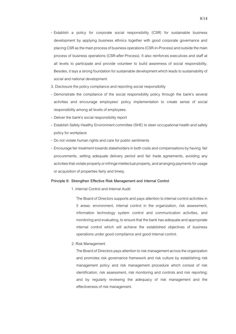- Establish a policy for corporate social responsibility (CSR) for sustainable business development by applying business ethnics together with good corporate governance and placing CSR as the main process of business operations (CSR-in-Process) and outside the main process of business operations (CSR-after-Process). It also reinforces executives and staff at all levels to participate and provide volunteer to build awareness of social responsibility. Besides, it lays a strong foundation for sustainable development which leads to sustainability of social and national development.
- 3. Disclosure the policy compliance and reporting social responsibility
- Demonstrate the compliance of the social responsibility policy through the bank's several activities and encourage employees' policy implementation to create sense of social responsibility among all levels of employees.
- Deliver the bank's social responsibility report
- Establish Safety Healthy Environment committee (SHE) to steer occupational health and safety policy for workplace
- Do not violate human rights and care for public sentiments
- Encourage fair treatment towards stakeholders in both costs and compensations by having fair procurements, setting adequate delivery period and fair trade agreements, avoiding any activities that violate property or infringe intellectual property, and arranging payments for usage or acquisition of properties fairly and timely.

#### **Principle 6: Strengthen Effective Risk Management and Internal Control**

1. Internal Control and Internal Audit

The Board of Directors supports and pays attention to internal control activities in 5 areas: environment, internal control in the organization, risk assessment, information technology system control and communication activities, and monitoring and evaluating, to ensure that the bank has adequate and appropriate internal control which will achieve the established objectives of business operations under good compliance and good internal control.

2. Risk Management

The Board of Directors pays attention to risk management across the organization and promotes risk governance framework and risk culture by establishing risk management policy and risk management procedure which consist of risk identification, risk assessment, risk monitoring and controls and risk reporting; and by regularly reviewing the adequacy of risk management and the effectiveness of risk management.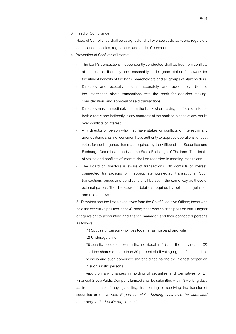3. Head of Compliance

Head of Compliance shall be assigned or shall oversee audit tasks and regulatory compliance, policies, regulations, and code of conduct.

- 4. Prevention of Conflicts of Interest
	- The bank's transactions independently conducted shall be free from conflicts of interests deliberately and reasonably under good ethical framework for the utmost benefits of the bank, shareholders and all groups of stakeholders.
	- Directors and executives shall accurately and adequately disclose the information about transactions with the bank for decision making, consideration, and approval of said transactions.
	- Directors must immediately inform the bank when having conflicts of interest both directly and indirectly in any contracts of the bank or in case of any doubt over conflicts of interest.
	- Any director or person who may have stakes or conflicts of interest in any agenda items shall not consider, have authority to approve operations, or cast votes for such agenda items as required by the Office of the Securities and Exchange Commission and / or the Stock Exchange of Thailand. The details of stakes and conflicts of interest shall be recorded in meeting resolutions.
	- The Board of Directors is aware of transactions with conflicts of interest, connected transactions or inappropriate connected transactions. Such transactions' prices and conditions shall be set in the same way as those of external parties. The disclosure of details is required by policies, regulations and related laws.

5. Directors and the first 4 executives from the Chief Executive Officer; those who hold the executive position in the  $4<sup>th</sup>$  rank; those who hold the position that is higher or equivalent to accounting and finance manager; and their connected persons as follows:

(1) Spouse or person who lives together as husband and wife

(2) Underage child

(3) Juristic persons in which the individual in (1) and the individual in (2) hold the shares of more than 30 percent of all voting rights of such juristic persons and such combined shareholdings having the highest proportion in such juristic persons.

Report on any changes in holding of securities and derivatives of LH Financial Group Public Company Limited shall be submitted within 3 working days as from the date of buying, selling, transferring or receiving the transfer of securities or derivatives. *Report on stake holding shall also be submitted according to the bank's requirements.*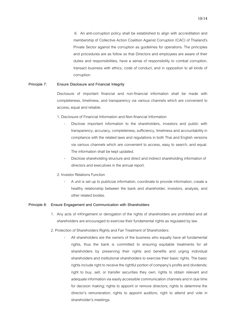6. An anti-corruption policy shall be established to align with accreditation and membership of Collective Action Coalition Against Corruption (CAC) of Thailand's Private Sector against the corruption as guidelines for operations. The principles and procedures are as follow so that Directors and employees are aware of their duties and responsibilities, have a sense of responsibility to combat corruption, transact business with ethics, code of conduct, and in opposition to all kinds of corruption.

## **Principle 7: Ensure Disclosure and Financial Integrity**

Disclosure of important financial and non-financial information shall be made with completeness, timeliness, and transparency via various channels which are convenient to access, equal and reliable.

1. Disclosure of Financial Information and Non-financial Information

- Disclose important information to the shareholders, investors and public with transparency, accuracy, completeness, sufficiency, timeliness and accountability in compliance with the related laws and regulations in both Thai and English versions via various channels which are convenient to access, easy to search, and equal. The information shall be kept updated.
- Disclose shareholding structure and direct and indirect shareholding information of directors and executives in the annual report.
- 2. Investor Relations Function
	- A unit is set up to publicize information, coordinate to provide information, create a healthy relationship between the bank and shareholder, investors, analysts, and other related bodies.

#### **Principle 8: Ensure Engagement and Communication with Shareholders**

- 1. Any acts of infringement or derogation of the rights of shareholders are prohibited and all shareholders are encouraged to exercise their fundamental rights as regulated by law.
- 2. Protection of Shareholders Rights and Fair Treatment of Shareholders
	- All shareholders are the owners of the business who equally have all fundamental rights, thus the bank is committed to ensuring equitable treatments for all shareholders by preserving their rights and benefits and urging individual shareholders and institutional shareholders to exercise their basic rights. The basic rights include right to receive the rightful portion of company's profits and dividends; right to buy, sell, or transfer securities they own; rights to obtain relevant and adequate information via easily accessible communication channels and in due time for decision making; rights to appoint or remove directors; rights to determine the director's remuneration; rights to appoint auditors; right to attend and vote in shareholder's meetings.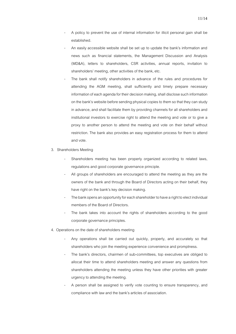- A policy to prevent the use of internal information for illicit personal gain shall be established.
- An easily accessible website shall be set up to update the bank's information and news such as financial statements, the Management Discussion and Analysis (MD&A), letters to shareholders, CSR activities, annual reports, invitation to shareholders' meeting, other activities of the bank, etc.
- The bank shall notify shareholders in advance of the rules and procedures for attending the AGM meeting, shall sufficiently and timely prepare necessary information of each agenda for their decision making, shall disclose such information on the bank's website before sending physical copies to them so that they canstudy in advance, and shall facilitate them by providing channels for all shareholders and institutional investors to exercise right to attend the meeting and vote or to give a proxy to another person to attend the meeting and vote on their behalf without restriction. The bank also provides an easy registration process for them to attend and vote.
- 3. Shareholders Meeting
	- Shareholders meeting has been properly organized according to related laws, regulations and good corporate governance principle.
	- All groups of shareholders are encouraged to attend the meeting as they are the owners of the bank and through the Board of Directors acting on their behalf, they have right on the bank's key decision making.
	- The bank opens an opportunity for each shareholder to have a right to elect individual members of the Board of Directors.
	- The bank takes into account the rights of shareholders according to the good corporate governance principles.
- 4. Operations on the date of shareholders meeting
	- Any operations shall be carried out quickly, properly, and accurately so that shareholders who join the meeting experience convenience and promptness.
	- The bank's directors, chairmen of sub-committees, top executives are obliged to allocat their time to attend shareholders meeting and answer any questions from shareholders attending the meeting unless they have other priorities with greater urgency to attending the meeting.
	- A person shall be assigned to verify vote counting to ensure transparency, and compliance with law and the bank's articles of association.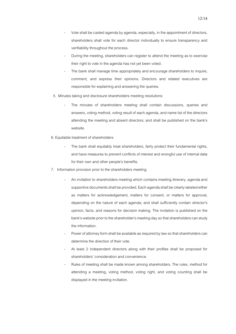- Vote shall be casted agenda by agenda, especially, in the appointment of directors, shareholders shall vote for each director individually to ensure transparency and verifiability throughout the process.
- During the meeting, shareholders can register to attend the meeting as to exercise their right to vote in the agenda has not yet been voted.
- The bank shall manage time appropriately and encourage shareholders to inquire, comment, and express their opinions. Directors and related executives are responsible for explaining and answering the queries.
- 5. Minutes taking and disclosure shareholders meeting resolutions
	- The minutes of shareholders meeting shall contain discussions, queries and answers, voting method, voting result of each agenda, and name list of the directors attending the meeting and absent directors; and shall be published on the bank's website.
- 6. Equitable treatment of shareholders
	- The bank shall equitably treat shareholders, fairly protect their fundamental rights, and have measures to prevent conflicts of interest and wrongful use of internal data for their own and other people's benefits.
- 7. Information provision prior to the shareholders meeting
	- An invitation to shareholders meeting which contains meeting itinerary, agenda and supportive documents shall be provided. Each agenda shall be clearly labeled either as matters for acknowledgement, matters for consent, or matters for approval, depending on the nature of each agenda; and shall sufficiently contain director's opinion, facts, and reasons for decision making. The invitation is published on the bank's website prior to the shareholder's meeting dayso that shareholders can study the information.
	- Power of attorney form shall be available as required by law so that shareholders can determine the direction of their vote.
	- At least 2 independent directors along with their profiles shall be proposed for shareholders' consideration and convenience.
	- Rules of meeting shall be made known among shareholders. The rules, method for attending a meeting, voting method, voting right, and voting counting shall be displayed in the meeting invitation.